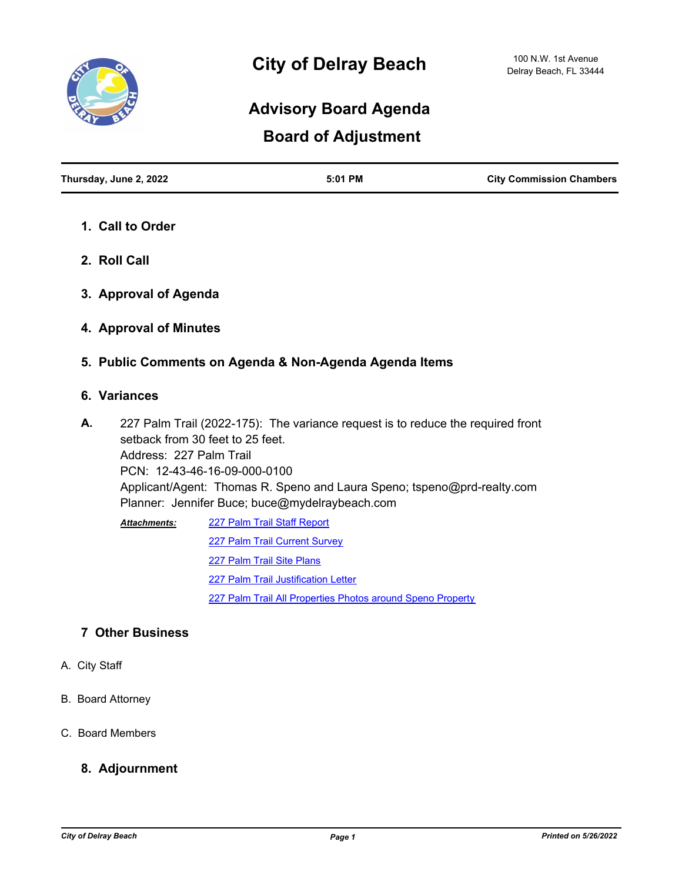

## **Board of Adjustment Advisory Board Agenda**

| Thursday, June 2, 2022 | 5:01 PM | <b>City Commission Chambers</b> |
|------------------------|---------|---------------------------------|
|                        |         |                                 |

- **1. Call to Order**
- **2. Roll Call**
- **3. Approval of Agenda**
- **4. Approval of Minutes**
- **5. Public Comments on Agenda & Non-Agenda Agenda Items**

## **6. Variances**

227 Palm Trail (2022-175): The variance request is to reduce the required front setback from 30 feet to 25 feet. Address: 227 Palm Trail PCN: 12-43-46-16-09-000-0100 Applicant/Agent: Thomas R. Speno and Laura Speno; tspeno@prd-realty.com Planner: Jennifer Buce; buce@mydelraybeach.com **A.**

[227 Palm Trail Staff Report](http://delraybeach.legistar.com/gateway.aspx?M=F&ID=4d574a45-d4f3-43fd-a5d1-7c08e6f9088c.doc) [227 Palm Trail Current Survey](http://delraybeach.legistar.com/gateway.aspx?M=F&ID=ffe8e655-334c-4ffe-a867-56f8a72b4920.pdf) [227 Palm Trail Site Plans](http://delraybeach.legistar.com/gateway.aspx?M=F&ID=60e5a5f1-1f2d-4913-abba-d4b39880dab1.pdf) [227 Palm Trail Justification Letter](http://delraybeach.legistar.com/gateway.aspx?M=F&ID=51365705-2254-4a36-8137-0b3b70a0b3ad.pdf) [227 Palm Trail All Properties Photos around Speno Property](http://delraybeach.legistar.com/gateway.aspx?M=F&ID=18b4ff96-eb34-46ca-8084-ea5a653387c9.pdf) *Attachments:*

## **7 Other Business**

- A. City Staff
- B. Board Attorney
- C. Board Members

## **8. Adjournment**